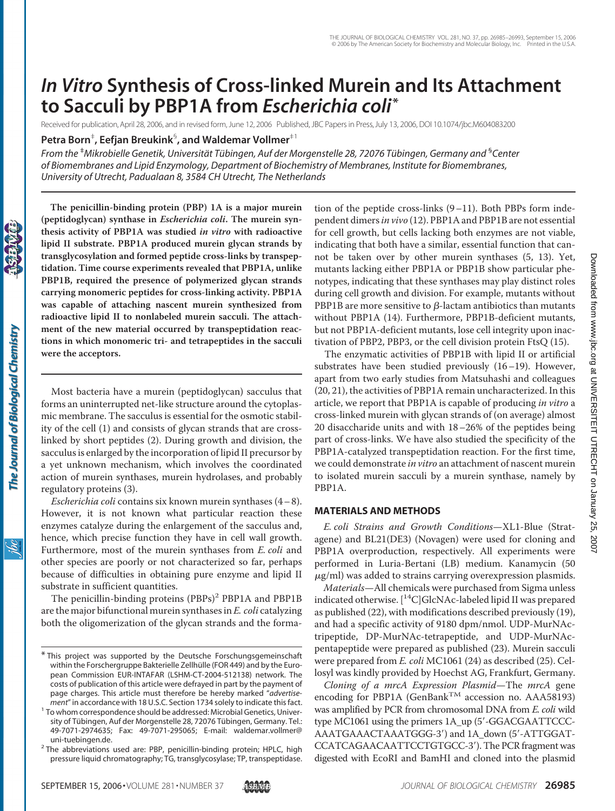# *In Vitro* **Synthesis of Cross-linked Murein and Its Attachment to Sacculi by PBP1A from** *Escherichia coli***\***

Received for publication, April 28, 2006, and in revised form, June 12, 2006 Published, JBC Papers in Press, July 13, 2006, DOI 10.1074/jbc.M604083200

**Petra Born**‡ **, Eefjan Breukink**§ **, and Waldemar Vollmer**‡1

*From the* <sup>‡</sup>Mikrobielle Genetik, Universität Tübingen, Auf der Morgenstelle 28, 72076 Tübingen, Germany and <sup>s</sup>Center *of Biomembranes and Lipid Enzymology, Department of Biochemistry of Membranes, Institute for Biomembranes, University of Utrecht, Padualaan 8, 3584 CH Utrecht, The Netherlands*

**The penicillin-binding protein (PBP) 1A is a major murein (peptidoglycan) synthase in** *Escherichia coli***. The murein synthesis activity of PBP1A was studied** *in vitro* **with radioactive lipid II substrate. PBP1A produced murein glycan strands by transglycosylation and formed peptide cross-links by transpeptidation. Time course experiments revealed that PBP1A, unlike PBP1B, required the presence of polymerized glycan strands carrying monomeric peptides for cross-linking activity. PBP1A was capable of attaching nascent murein synthesized from radioactive lipid II to nonlabeled murein sacculi. The attachment of the new material occurred by transpeptidation reactions in which monomeric tri- and tetrapeptides in the sacculi were the acceptors.**

Most bacteria have a murein (peptidoglycan) sacculus that forms an uninterrupted net-like structure around the cytoplasmic membrane. The sacculus is essential for the osmotic stability of the cell (1) and consists of glycan strands that are crosslinked by short peptides (2). During growth and division, the sacculus is enlarged by the incorporation of lipid II precursor by a yet unknown mechanism, which involves the coordinated action of murein synthases, murein hydrolases, and probably regulatory proteins (3).

*Escherichia coli* contains six known murein synthases (4– 8). However, it is not known what particular reaction these enzymes catalyze during the enlargement of the sacculus and, hence, which precise function they have in cell wall growth. Furthermore, most of the murein synthases from *E. coli* and other species are poorly or not characterized so far, perhaps because of difficulties in obtaining pure enzyme and lipid II substrate in sufficient quantities.

The penicillin-binding proteins (PBPs)<sup>2</sup> PBP1A and PBP1B are the major bifunctional murein synthases in *E. coli* catalyzing both the oligomerization of the glycan strands and the formation of the peptide cross-links (9–11). Both PBPs form independent dimers*in vivo* (12). PBP1A and PBP1B are not essential for cell growth, but cells lacking both enzymes are not viable, indicating that both have a similar, essential function that cannot be taken over by other murein synthases (5, 13). Yet, mutants lacking either PBP1A or PBP1B show particular phenotypes, indicating that these synthases may play distinct roles during cell growth and division. For example, mutants without PBP1B are more sensitive to  $\beta$ -lactam antibiotics than mutants without PBP1A (14). Furthermore, PBP1B-deficient mutants, but not PBP1A-deficient mutants, lose cell integrity upon inactivation of PBP2, PBP3, or the cell division protein FtsQ (15).

The enzymatic activities of PBP1B with lipid II or artificial substrates have been studied previously (16–19). However, apart from two early studies from Matsuhashi and colleagues (20, 21), the activities of PBP1A remain uncharacterized. In this article, we report that PBP1A is capable of producing *in vitro* a cross-linked murein with glycan strands of (on average) almost 20 disaccharide units and with 18–26% of the peptides being part of cross-links. We have also studied the specificity of the PBP1A-catalyzed transpeptidation reaction. For the first time, we could demonstrate *in vitro* an attachment of nascent murein to isolated murein sacculi by a murein synthase, namely by PBP1A.

# **MATERIALS AND METHODS**

*E. coli Strains and Growth Conditions*—XL1-Blue (Stratagene) and BL21(DE3) (Novagen) were used for cloning and PBP1A overproduction, respectively. All experiments were performed in Luria-Bertani (LB) medium. Kanamycin (50  $\mu$ g/ml) was added to strains carrying overexpression plasmids.

*Materials*—All chemicals were purchased from Sigma unless indicated otherwise.  $[{}^{14}C]$ GlcNAc-labeled lipid II was prepared as published (22), with modifications described previously (19), and had a specific activity of 9180 dpm/nmol. UDP-MurNActripeptide, DP-MurNAc-tetrapeptide, and UDP-MurNAcpentapeptide were prepared as published (23). Murein sacculi were prepared from *E. coli* MC1061 (24) as described (25). Cellosyl was kindly provided by Hoechst AG, Frankfurt, Germany.

*Cloning of a mrcA Expression Plasmid*—The *mrcA* gene encoding for PBP1A (GenBank<sup>TM</sup> accession no. AAA58193) was amplified by PCR from chromosomal DNA from *E. coli* wild type MC1061 using the primers 1A\_up (5'-GGACGAATTCCC-AAATGAAACTAAATGGG-3) and 1A\_down (5-ATTGGAT-CCATCAGAACAATTCCTGTGCC-3). The PCR fragment was digested with EcoRI and BamHI and cloned into the plasmid

ŇС

<sup>\*</sup> This project was supported by the Deutsche Forschungsgemeinschaft within the Forschergruppe Bakterielle Zellhülle (FOR 449) and by the European Commission EUR-INTAFAR (LSHM-CT-2004-512138) network. The costs of publication of this article were defrayed in part by the payment of page charges. This article must therefore be hereby marked "*advertise-*

*ment*" in accordance with 18 U.S.C. Section 1734 solely to indicate this fact. <sup>1</sup> To whom correspondence should be addressed: Microbial Genetics, University of Tübingen, Auf der Morgenstelle 28, 72076 Tübingen, Germany. Tel.: 49-7071-2974635; Fax: 49-7071-295065; E-mail: waldemar.vollmer@

uni-tuebingen.de.<br><sup>2</sup> The abbreviations used are: PBP, penicillin-binding protein; HPLC, high pressure liquid chromatography; TG, transglycosylase; TP, transpeptidase.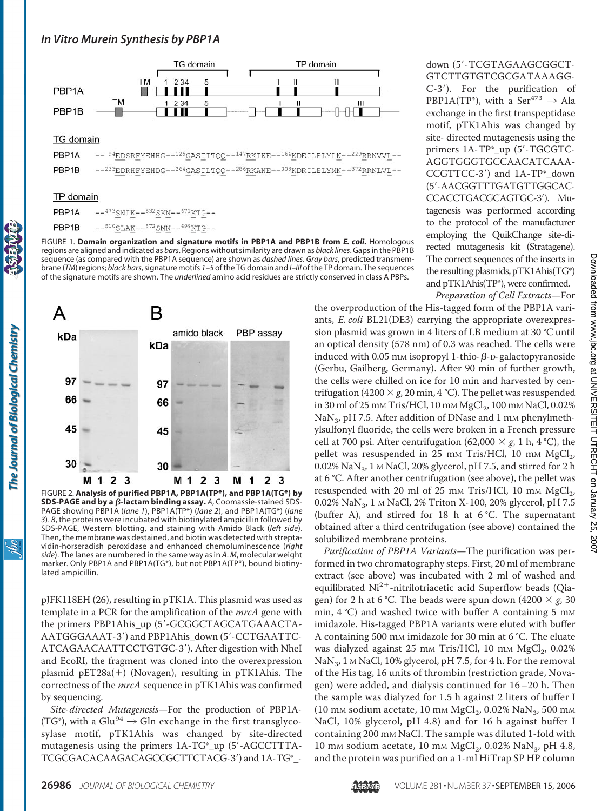# *In Vitro Murein Synthesis by PBP1A*



#### **TG** domain

| $\textbf{PBP1A} \qquad \text{---} \quad \text{94} \underline{\text{EDSREYEHHG--125} \underline{\text{GASTITQQ--147} \underline{\text{RK}} \text{IKE--164} \underline{\text{KDEILELYLM--229} \underline{\text{RRNVVL--1}} \text{F}} \text{---}$ |
|------------------------------------------------------------------------------------------------------------------------------------------------------------------------------------------------------------------------------------------------|
| $\textsf{PBP1B}$ $--^{233}\textsf{EDRHFYEHDG}--^{264}\textsf{GASTLTQQ}--^{286}\textsf{RKANE}--^{303}\textsf{KDRILELYMN}--^{372}\textsf{RRNLVL}--$                                                                                              |

#### **TP** domain

| PBP <sub>1</sub> A | $-$ -473SNIK--532SKN--672KTG--                                             |
|--------------------|----------------------------------------------------------------------------|
| PBP1B              | $--$ <sup>510</sup> SLAK- $-$ <sup>572</sup> SMN- $-$ <sup>698</sup> KTG-- |

FIGURE 1. **Domain organization and signature motifs in PBP1A and PBP1B from** *E. coli***.** Homologous regions are aligned and indicated as *bars*. Regions without similarity are drawn as *black lines*. Gaps in the PBP1B sequence (as compared with the PBP1A sequence) are shown as *dashed lines*. *Gray bars*, predicted transmembrane (*TM*) regions; *black bars*, signature motifs *1–5* of the TG domain and *I*–*III* of the TP domain. The sequences of the signature motifs are shown. The *underlined* amino acid residues are strictly conserved in class A PBPs.



FIGURE 2. **Analysis of purified PBP1A, PBP1A(TP\*), and PBP1A(TG\*) by SDS-PAGE and by a β-lactam binding assay.** A, Coomassie-stained SDS-PAGE showing PBP1A (*lane 1*), PBP1A(TP\*) (*lane 2*), and PBP1A(TG\*) (*lane 3*). *B*, the proteins were incubated with biotinylated ampicillin followed by SDS-PAGE, Western blotting, and staining with Amido Black (*left side*). Then, the membrane was destained, and biotin was detected with streptavidin-horseradish peroxidase and enhanced chemoluminescence (*right side*). The lanes are numbered in the same way as in *A*. *M*, molecular weight marker. Only PBP1A and PBP1A(TG\*), but not PBP1A(TP\*), bound biotinylated ampicillin.

pJFK118EH (26), resulting in pTK1A. This plasmid was used as template in a PCR for the amplification of the *mrcA* gene with the primers PBP1Ahis up (5'-GCGGCTAGCATGAAACTA-AATGGGAAAT-3) and PBP1Ahis\_down (5-CCTGAATTC-ATCAGAACAATTCCTGTGC-3). After digestion with NheI and EcoRI, the fragment was cloned into the overexpression plasmid pET28a(+) (Novagen), resulting in pTK1Ahis. The correctness of the *mrcA* sequence in pTK1Ahis was confirmed by sequencing.

*Site-directed Mutagenesis*—For the production of PBP1A- (TG\*), with a Glu<sup>94</sup>  $\rightarrow$  Gln exchange in the first transglycosylase motif, pTK1Ahis was changed by site-directed mutagenesis using the primers 1A-TG\*\_up (5-AGCCTTTA-TCGCGACACAAGACAGCCGCTTCTACG-3) and 1A-TG\*\_- down (5'-TCGTAGAAGCGGCT-GTCTTGTGTCGCGATAAAGG-C-3). For the purification of PBP1A(TP\*), with a Ser<sup>473</sup>  $\rightarrow$  Ala exchange in the first transpeptidase motif, pTK1Ahis was changed by site- directed mutagenesis using the primers 1A-TP\*\_up (5'-TGCGTC-AGGTGGGTGCCAACATCAAA-CCGTTCC-3) and 1A-TP\*\_down (5-AACGGTTTGATGTTGGCAC-CCACCTGACGCAGTGC-3). Mutagenesis was performed according to the protocol of the manufacturer employing the QuikChange site-directed mutagenesis kit (Stratagene). The correct sequences of the inserts in the resulting plasmids, pTK1Ahis(TG\*) and pTK1Ahis(TP\*), were confirmed.

*Preparation of Cell Extracts*—For

the overproduction of the His-tagged form of the PBP1A variants, *E. coli* BL21(DE3) carrying the appropriate overexpression plasmid was grown in 4 liters of LB medium at 30 °C until an optical density (578 nm) of 0.3 was reached. The cells were induced with 0.05 mm isopropyl 1-thio- $\beta$ -D-galactopyranoside (Gerbu, Gailberg, Germany). After 90 min of further growth, the cells were chilled on ice for 10 min and harvested by centrifugation (4200  $\times$  *g*, 20 min, 4 °C). The pellet was resuspended in 30 ml of 25 mm Tris/HCl, 10 mm MgCl<sub>2</sub>, 100 mm NaCl, 0.02%  $\text{NaN}_3$ , pH 7.5. After addition of DNase and 1 mm phenylmethylsulfonyl fluoride, the cells were broken in a French pressure cell at 700 psi. After centrifugation (62,000  $\times$  *g*, 1 h, 4 °C), the pellet was resuspended in 25 mm Tris/HCl, 10 mm  $MgCl<sub>2</sub>$ ,  $0.02\%$  NaN<sub>3</sub>, 1 M NaCl, 20% glycerol, pH 7.5, and stirred for 2 h at 6 °C. After another centrifugation (see above), the pellet was resuspended with 20 ml of 25 mm Tris/HCl, 10 mm  $MgCl<sub>2</sub>$ , 0.02% NaN<sub>3</sub>, 1 M NaCl, 2% Triton X-100, 20% glycerol, pH 7.5 (buffer A), and stirred for 18 h at 6 °C. The supernatant obtained after a third centrifugation (see above) contained the solubilized membrane proteins.

*Purification of PBP1A Variants*—The purification was performed in two chromatography steps. First, 20 ml of membrane extract (see above) was incubated with 2 ml of washed and equilibrated Ni<sup>2+</sup>-nitrilotriacetic acid Superflow beads (Qiagen) for 2 h at 6 °C. The beads were spun down  $(4200 \times g, 30)$ min,  $4^{\circ}$ C) and washed twice with buffer A containing 5 mm imidazole. His-tagged PBP1A variants were eluted with buffer A containing 500 mM imidazole for 30 min at 6 °C. The eluate was dialyzed against 25 mm Tris/HCl, 10 mm MgCl<sub>2</sub>, 0.02% NaN<sub>3</sub>, 1 M NaCl, 10% glycerol, pH 7.5, for 4 h. For the removal of the His tag, 16 units of thrombin (restriction grade, Novagen) were added, and dialysis continued for 16–20 h. Then the sample was dialyzed for 1.5 h against 2 liters of buffer I (10 mm sodium acetate, 10 mm  $MgCl<sub>2</sub>$ , 0.02% NaN<sub>3</sub>, 500 mm NaCl, 10% glycerol, pH 4.8) and for 16 h against buffer I containing 200 mM NaCl. The sample was diluted 1-fold with 10 mm sodium acetate, 10 mm  $MgCl<sub>2</sub>$ , 0.02% NaN<sub>3</sub>, pH 4.8, and the protein was purified on a 1-ml HiTrap SP HP column

ŇС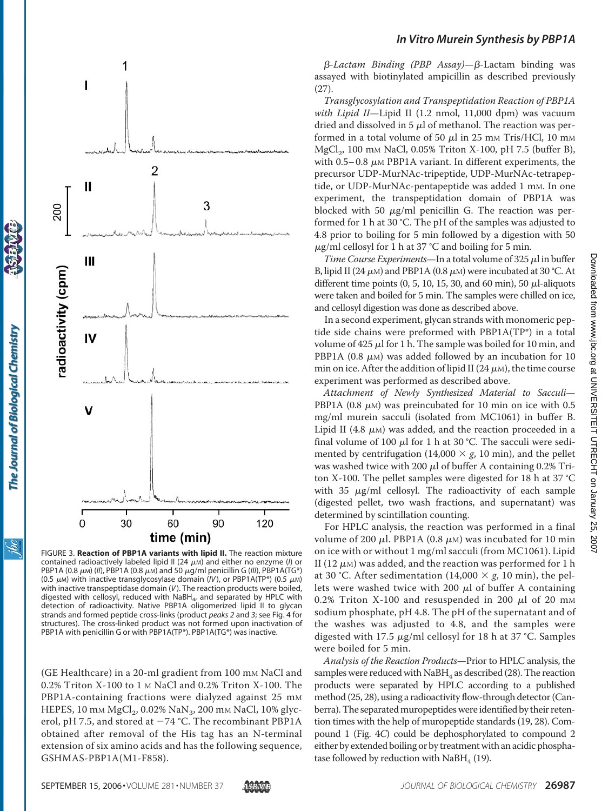

FIGURE 3. **Reaction of PBP1A variants with lipid II.** The reaction mixture contained radioactively labeled lipid II (24  $\mu$ m) and either no enzyme (*I*) or PBP1A (0.8  $\mu$ m) (*II*), PBP1A (0.8  $\mu$ m) and 50  $\mu$ g/ml penicillin G (*III*), PBP1A(TG\*) (0.5  $\mu$ M) with inactive transglycosylase domain (*IV*), or PBP1A(TP\*) (0.5  $\mu$ M) with inactive transpeptidase domain (*V*). The reaction products were boiled, digested with cellosyl, reduced with NaBH<sub>4</sub>, and separated by HPLC with detection of radioactivity. Native PBP1A oligomerized lipid II to glycan strands and formed peptide cross-links (product *peaks 2* and *3*; see Fig. 4 for structures). The cross-linked product was not formed upon inactivation of PBP1A with penicillin G or with PBP1A(TP\*). PBP1A(TG\*) was inactive.

(GE Healthcare) in a 20-ml gradient from 100 mM NaCl and 0.2% Triton X-100 to 1 M NaCl and 0.2% Triton X-100. The PBP1A-containing fractions were dialyzed against 25 mm HEPES, 10 mm MgCl<sub>2</sub>, 0.02% NaN<sub>3</sub>, 200 mm NaCl, 10% glycerol, pH 7.5, and stored at  $-74$  °C. The recombinant PBP1A obtained after removal of the His tag has an N-terminal extension of six amino acids and has the following sequence, GSHMAS-PBP1A(M1-F858).

### *In Vitro Murein Synthesis by PBP1A*

*β-Lactam Binding (PBP Assay)—β-Lactam binding was* assayed with biotinylated ampicillin as described previously (27).

*Transglycosylation and Transpeptidation Reaction of PBP1A with Lipid II*—Lipid II (1.2 nmol, 11,000 dpm) was vacuum dried and dissolved in 5  $\mu$ l of methanol. The reaction was performed in a total volume of 50  $\mu$ l in 25 mm Tris/HCl, 10 mm MgCl<sub>2</sub>, 100 mm NaCl, 0.05% Triton X-100, pH 7.5 (buffer B), with  $0.5-0.8$   $\mu$ M PBP1A variant. In different experiments, the precursor UDP-MurNAc-tripeptide, UDP-MurNAc-tetrapeptide, or UDP-MurNAc-pentapeptide was added 1 mM. In one experiment, the transpeptidation domain of PBP1A was blocked with 50  $\mu$ g/ml penicillin G. The reaction was performed for 1 h at 30 °C. The pH of the samples was adjusted to 4.8 prior to boiling for 5 min followed by a digestion with 50  $\mu$ g/ml cellosyl for 1 h at 37 °C and boiling for 5 min.

Time Course Experiments—In a total volume of 325  $\mu$ l in buffer B, lipid II (24  $\mu$ m) and PBP1A (0.8  $\mu$ m) were incubated at 30 °C. At different time points  $(0, 5, 10, 15, 30, \text{ and } 60 \text{ min})$ , 50  $\mu$ l-aliquots were taken and boiled for 5 min. The samples were chilled on ice, and cellosyl digestion was done as described above.

In a second experiment, glycan strands with monomeric peptide side chains were preformed with PBP1A(TP\*) in a total volume of 425  $\mu$ l for 1 h. The sample was boiled for 10 min, and PBP1A (0.8  $\mu$ M) was added followed by an incubation for 10 min on ice. After the addition of lipid II (24  $\mu$ m), the time course experiment was performed as described above.

*Attachment of Newly Synthesized Material to Sacculi*— PBP1A (0.8  $\mu$ M) was preincubated for 10 min on ice with 0.5 mg/ml murein sacculi (isolated from MC1061) in buffer B. Lipid II (4.8  $\mu$ M) was added, and the reaction proceeded in a final volume of 100  $\mu$ l for 1 h at 30 °C. The sacculi were sedimented by centrifugation (14,000  $\times$  *g*, 10 min), and the pellet was washed twice with 200  $\mu$ l of buffer A containing 0.2% Triton X-100. The pellet samples were digested for 18 h at 37 °C with  $35 \mu g/ml$  cellosyl. The radioactivity of each sample (digested pellet, two wash fractions, and supernatant) was determined by scintillation counting.

For HPLC analysis, the reaction was performed in a final volume of 200  $\mu$ l. PBP1A (0.8  $\mu$ м) was incubated for 10 min on ice with or without 1 mg/ml sacculi (from MC1061). Lipid II (12  $\mu$ м) was added, and the reaction was performed for 1 h at 30 °C. After sedimentation (14,000  $\times$  *g*, 10 min), the pellets were washed twice with 200  $\mu$ l of buffer A containing  $0.2\%$  Triton X-100 and resuspended in 200  $\mu$ l of 20 mm sodium phosphate, pH 4.8. The pH of the supernatant and of the washes was adjusted to 4.8, and the samples were digested with 17.5  $\mu$ g/ml cellosyl for 18 h at 37 °C. Samples were boiled for 5 min.

*Analysis of the Reaction Products*—Prior to HPLC analysis, the samples were reduced with  $N$ aBH<sub>4</sub> as described (28). The reaction products were separated by HPLC according to a published method (25, 28), using a radioactivity flow-through detector (Canberra). The separated muropeptides were identified by their retention times with the help of muropeptide standards (19, 28). Compound 1 (Fig. 4*C*) could be dephosphorylated to compound 2 either by extended boiling or by treatment with an acidic phosphatase followed by reduction with  $N$ aBH<sub>4</sub> (19).

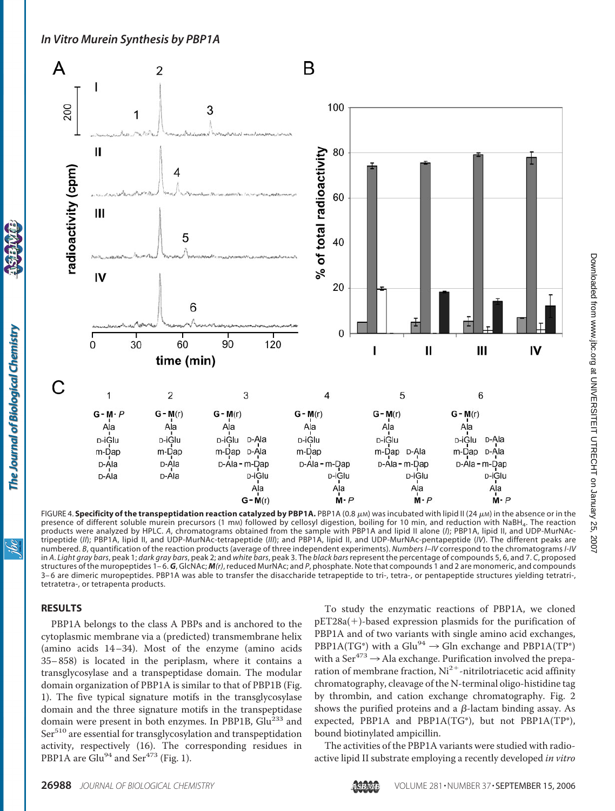# *In Vitro Murein Synthesis by PBP1A*



FIGURE 4. **Specificity of the transpeptidation reaction catalyzed by PBP1A.** PBP1A (0.8  $\mu$ m) was incubated with lipid II (24  $\mu$ m) in the absence or in the presence of different soluble murein precursors (1 mm) followed by cellosyl digestion, boiling for 10 min, and reduction with NaBH<sub>4</sub>. The reaction products were analyzed by HPLC. *A*, chromatograms obtained from the sample with PBP1A and lipid II alone (*I*); PBP1A, lipid II, and UDP-MurNActripeptide (*II*); PBP1A, lipid II, and UDP-MurNAc-tetrapeptide (*III*); and PBP1A, lipid II, and UDP-MurNAc-pentapeptide (*IV*). The different peaks are numbered. *B*, quantification of the reaction products (average of three independent experiments). *Numbers I*–*IV* correspond to the chromatograms *I-IV* in *A*. *Light gray bars*, peak 1; *dark gray bars*, peak 2; and *white bars*, peak 3. The *black bars* represent the percentage of compounds 5, 6, and 7. *C*, proposed structures of the muropeptides 1– 6. *G*, GlcNAc; *M(r)*, reduced MurNAc; and *P*, phosphate. Note that compounds 1 and 2 are monomeric, and compounds 3-6 are dimeric muropeptides. PBP1A was able to transfer the disaccharide tetrapeptide to tri-, tetra-, or pentapeptide structures yielding tetratri-, tetratetra-, or tetrapenta products.

#### **RESULTS**

The Journal of Biological Chemistry

ibc

PBP1A belongs to the class A PBPs and is anchored to the cytoplasmic membrane via a (predicted) transmembrane helix (amino acids 14–34). Most of the enzyme (amino acids 35– 858) is located in the periplasm, where it contains a transglycosylase and a transpeptidase domain. The modular domain organization of PBP1A is similar to that of PBP1B (Fig. 1). The five typical signature motifs in the transglycosylase domain and the three signature motifs in the transpeptidase domain were present in both enzymes. In PBP1B, Glu<sup>233</sup> and Ser<sup>510</sup> are essential for transglycosylation and transpeptidation activity, respectively (16). The corresponding residues in PBP1A are Glu<sup>94</sup> and Ser<sup>473</sup> (Fig. 1).

To study the enzymatic reactions of PBP1A, we cloned pET28a(-)-based expression plasmids for the purification of PBP1A and of two variants with single amino acid exchanges, PBP1A(TG\*) with a Glu<sup>94</sup>  $\rightarrow$  Gln exchange and PBP1A(TP\*) with a Ser $473 \rightarrow$  Ala exchange. Purification involved the preparation of membrane fraction,  $\mathrm{Ni^{2+}}$ -nitrilotriacetic acid affinity chromatography, cleavage of the N-terminal oligo-histidine tag by thrombin, and cation exchange chromatography. Fig. 2 shows the purified proteins and a  $\beta$ -lactam binding assay. As expected, PBP1A and PBP1A(TG\*), but not PBP1A(TP\*), bound biotinylated ampicillin.

The activities of the PBP1A variants were studied with radioactive lipid II substrate employing a recently developed *in vitro*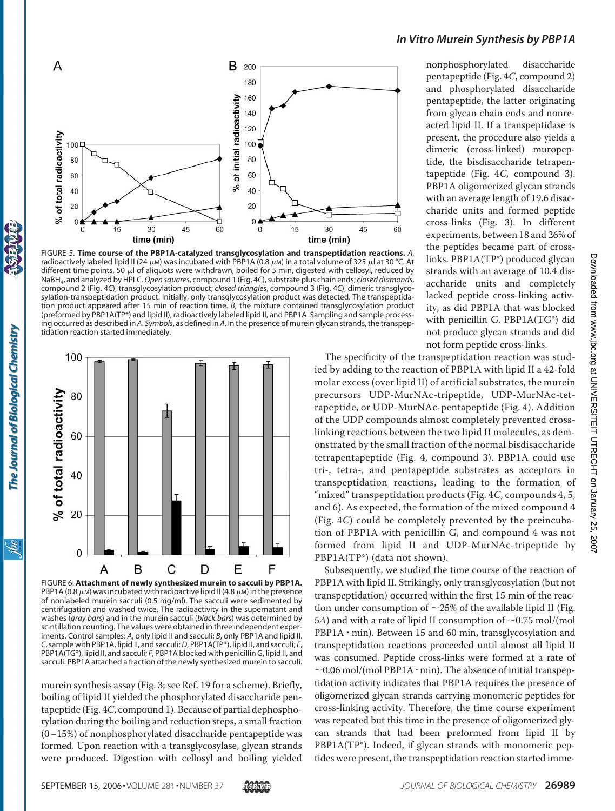

FIGURE 5. **Time course of the PBP1A-catalyzed transglycosylation and transpeptidation reactions.** *A*, radioactively labeled lipid II (24  $\mu$ m) was incubated with PBP1A (0.8  $\mu$ m) in a total volume of 325  $\mu$ l at 30 °C. At different time points, 50  $\mu$ l of aliquots were withdrawn, boiled for 5 min, digested with cellosyl, reduced by NaBH4, and analyzed by HPLC.*Open squares*, compound 1 (Fig. 4*C*), substrate plus chain ends; *closed diamonds*, compound 2 (Fig. 4*C*), transglycosylation product; *closed triangles*, compound 3 (Fig. 4*C*), dimeric transglycosylation-transpeptidation product. Initially, only transglycosylation product was detected. The transpeptidation product appeared after 15 min of reaction time. *B*, the mixture contained transglycosylation product (preformed by PBP1A(TP\*) and lipid II), radioactively labeled lipid II, and PBP1A. Sampling and sample processing occurred as described in *A*. *Symbols*, as defined in *A*. In the presence of murein glycan strands, the transpeptidation reaction started immediately.



FIGURE 6. **Attachment of newly synthesized murein to sacculi by PBP1A.** PBP1A (0.8  $\mu$ M) was incubated with radioactive lipid II (4.8  $\mu$ M) in the presence of nonlabeled murein sacculi (0.5 mg/ml). The sacculi were sedimented by centrifugation and washed twice. The radioactivity in the supernatant and washes (*gray bars*) and in the murein sacculi (*black bars*) was determined by scintillation counting. The values were obtained in three independent experiments. Control samples: *A*, only lipid II and sacculi; *B*, only PBP1A and lipid II. *C*, sample with PBP1A, lipid II, and sacculi; *D*, PBP1A(TP\*), lipid II, and sacculi; *E*, PBP1A(TG\*), lipid II, and sacculi; *F*, PBP1A blocked with penicillin G, lipid II, and sacculi. PBP1A attached a fraction of the newly synthesized murein to sacculi.

murein synthesis assay (Fig. 3; see Ref. 19 for a scheme). Briefly, boiling of lipid II yielded the phosphorylated disaccharide pentapeptide (Fig. 4*C*, compound 1). Because of partial dephosphorylation during the boiling and reduction steps, a small fraction (0–15%) of nonphosphorylated disaccharide pentapeptide was formed. Upon reaction with a transglycosylase, glycan strands were produced. Digestion with cellosyl and boiling yielded

# *In Vitro Murein Synthesis by PBP1A*

nonphosphorylated disaccharide pentapeptide (Fig. 4*C*, compound 2) and phosphorylated disaccharide pentapeptide, the latter originating from glycan chain ends and nonreacted lipid II. If a transpeptidase is present, the procedure also yields a dimeric (cross-linked) muropeptide, the bisdisaccharide tetrapentapeptide (Fig. 4*C*, compound 3). PBP1A oligomerized glycan strands with an average length of 19.6 disaccharide units and formed peptide cross-links (Fig. 3). In different experiments, between 18 and 26% of the peptides became part of crosslinks. PBP1A(TP\*) produced glycan strands with an average of 10.4 disaccharide units and completely lacked peptide cross-linking activity, as did PBP1A that was blocked with penicillin G. PBP1A(TG\*) did not produce glycan strands and did not form peptide cross-links.

The specificity of the transpeptidation reaction was studied by adding to the reaction of PBP1A with lipid II a 42-fold molar excess (over lipid II) of artificial substrates, the murein precursors UDP-MurNAc-tripeptide, UDP-MurNAc-tetrapeptide, or UDP-MurNAc-pentapeptide (Fig. 4). Addition of the UDP compounds almost completely prevented crosslinking reactions between the two lipid II molecules, as demonstrated by the small fraction of the normal bisdisaccharide tetrapentapeptide (Fig. 4, compound 3). PBP1A could use tri-, tetra-, and pentapeptide substrates as acceptors in transpeptidation reactions, leading to the formation of "mixed" transpeptidation products (Fig. 4*C*, compounds 4, 5, and 6). As expected, the formation of the mixed compound 4 (Fig. 4*C*) could be completely prevented by the preincubation of PBP1A with penicillin G, and compound 4 was not formed from lipid II and UDP-MurNAc-tripeptide by PBP1A(TP\*) (data not shown).

Subsequently, we studied the time course of the reaction of PBP1A with lipid II. Strikingly, only transglycosylation (but not transpeptidation) occurred within the first 15 min of the reaction under consumption of  $\sim$ 25% of the available lipid II (Fig. 5*A*) and with a rate of lipid II consumption of  $\sim$ 0.75 mol/(mol PBP1A  $\cdot$  min). Between 15 and 60 min, transglycosylation and transpeptidation reactions proceeded until almost all lipid II was consumed. Peptide cross-links were formed at a rate of  $\sim$  0.06 mol/(mol PBP1A  $\cdot$  min). The absence of initial transpeptidation activity indicates that PBP1A requires the presence of oligomerized glycan strands carrying monomeric peptides for cross-linking activity. Therefore, the time course experiment was repeated but this time in the presence of oligomerized glycan strands that had been preformed from lipid II by PBP1A(TP\*). Indeed, if glycan strands with monomeric peptides were present, the transpeptidation reaction started imme-

ibc

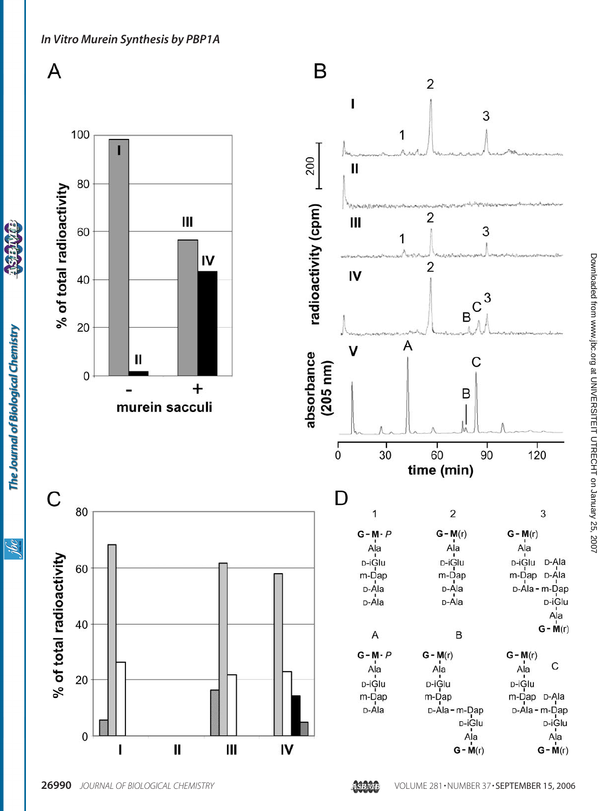

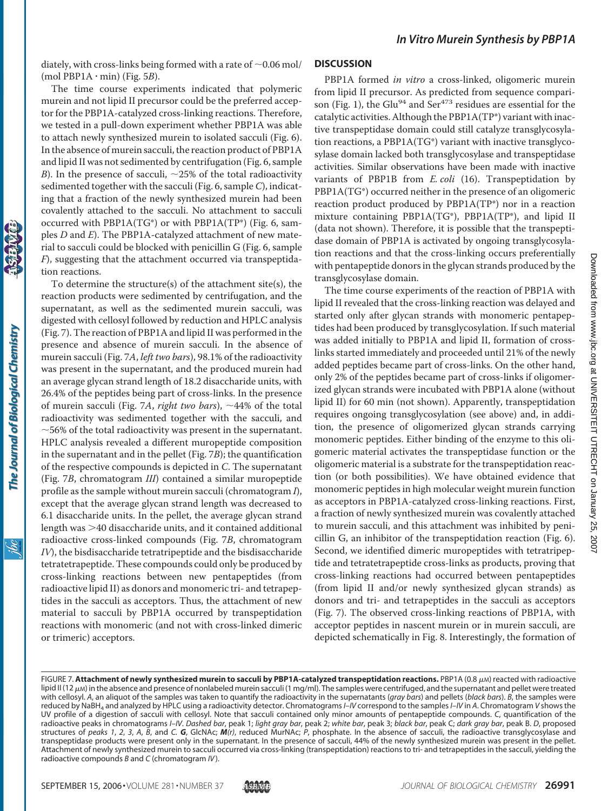diately, with cross-links being formed with a rate of  $\sim$  0.06 mol/  $(mod PBP1A \cdot min)$  (Fig. 5*B*).

The time course experiments indicated that polymeric murein and not lipid II precursor could be the preferred acceptor for the PBP1A-catalyzed cross-linking reactions. Therefore, we tested in a pull-down experiment whether PBP1A was able to attach newly synthesized murein to isolated sacculi (Fig. 6). In the absence of murein sacculi, the reaction product of PBP1A and lipid II was not sedimented by centrifugation (Fig. 6, sample *B*). In the presence of sacculi,  $\sim$ 25% of the total radioactivity sedimented together with the sacculi (Fig. 6, sample *C*), indicating that a fraction of the newly synthesized murein had been covalently attached to the sacculi. No attachment to sacculi occurred with PBP1A(TG\*) or with PBP1A(TP\*) (Fig. 6, samples *D* and *E*). The PBP1A-catalyzed attachment of new material to sacculi could be blocked with penicillin G (Fig. 6, sample *F*), suggesting that the attachment occurred via transpeptidation reactions.

To determine the structure(s) of the attachment site(s), the reaction products were sedimented by centrifugation, and the supernatant, as well as the sedimented murein sacculi, was digested with cellosyl followed by reduction and HPLC analysis (Fig. 7). The reaction of PBP1A and lipid II was performed in the presence and absence of murein sacculi. In the absence of murein sacculi (Fig. 7*A*, *left two bars*), 98.1% of the radioactivity was present in the supernatant, and the produced murein had an average glycan strand length of 18.2 disaccharide units, with 26.4% of the peptides being part of cross-links. In the presence of murein sacculi (Fig. 7A, *right two bars*),  $\sim$ 44% of the total radioactivity was sedimented together with the sacculi, and  $\sim$  56% of the total radioactivity was present in the supernatant. HPLC analysis revealed a different muropeptide composition in the supernatant and in the pellet (Fig. 7*B*); the quantification of the respective compounds is depicted in *C*. The supernatant (Fig. 7*B*, chromatogram *III*) contained a similar muropeptide profile as the sample without murein sacculi (chromatogram *I*), except that the average glycan strand length was decreased to 6.1 disaccharide units. In the pellet, the average glycan strand length was  $>40$  disaccharide units, and it contained additional radioactive cross-linked compounds (Fig. 7*B*, chromatogram *IV*), the bisdisaccharide tetratripeptide and the bisdisaccharide tetratetrapeptide. These compounds could only be produced by cross-linking reactions between new pentapeptides (from radioactive lipid II) as donors and monomeric tri- and tetrapeptides in the sacculi as acceptors. Thus, the attachment of new material to sacculi by PBP1A occurred by transpeptidation reactions with monomeric (and not with cross-linked dimeric or trimeric) acceptors.

#### **DISCUSSION**

PBP1A formed *in vitro* a cross-linked, oligomeric murein from lipid II precursor. As predicted from sequence comparison (Fig. 1), the Glu<sup>94</sup> and Ser<sup>473</sup> residues are essential for the catalytic activities. Although the PBP1A(TP\*) variant with inactive transpeptidase domain could still catalyze transglycosylation reactions, a PBP1A(TG\*) variant with inactive transglycosylase domain lacked both transglycosylase and transpeptidase activities. Similar observations have been made with inactive variants of PBP1B from *E. coli* (16). Transpeptidation by PBP1A(TG\*) occurred neither in the presence of an oligomeric reaction product produced by PBP1A(TP\*) nor in a reaction mixture containing PBP1A(TG\*), PBP1A(TP\*), and lipid II (data not shown). Therefore, it is possible that the transpeptidase domain of PBP1A is activated by ongoing transglycosylation reactions and that the cross-linking occurs preferentially with pentapeptide donors in the glycan strands produced by the transglycosylase domain.

The time course experiments of the reaction of PBP1A with lipid II revealed that the cross-linking reaction was delayed and started only after glycan strands with monomeric pentapeptides had been produced by transglycosylation. If such material was added initially to PBP1A and lipid II, formation of crosslinks started immediately and proceeded until 21% of the newly added peptides became part of cross-links. On the other hand, only 2% of the peptides became part of cross-links if oligomerized glycan strands were incubated with PBP1A alone (without lipid II) for 60 min (not shown). Apparently, transpeptidation requires ongoing transglycosylation (see above) and, in addition, the presence of oligomerized glycan strands carrying monomeric peptides. Either binding of the enzyme to this oligomeric material activates the transpeptidase function or the oligomeric material is a substrate for the transpeptidation reaction (or both possibilities). We have obtained evidence that monomeric peptides in high molecular weight murein function as acceptors in PBP1A-catalyzed cross-linking reactions. First, a fraction of newly synthesized murein was covalently attached to murein sacculi, and this attachment was inhibited by penicillin G, an inhibitor of the transpeptidation reaction (Fig. 6). Second, we identified dimeric muropeptides with tetratripeptide and tetratetrapeptide cross-links as products, proving that cross-linking reactions had occurred between pentapeptides (from lipid II and/or newly synthesized glycan strands) as donors and tri- and tetrapeptides in the sacculi as acceptors (Fig. 7). The observed cross-linking reactions of PBP1A, with acceptor peptides in nascent murein or in murein sacculi, are depicted schematically in Fig. 8. Interestingly, the formation of

The Journal of Biological Chemistry

FIGURE 7. **Attachment of newly synthesized murein to sacculi by PBP1A-catalyzed transpeptidation reactions. PBP1A (0.8 µM) reacted with radioactive** lipid II (12 μм) in the absence and presence of nonlabeled murein sacculi (1 mg/ml). The samples were centrifuged, and the supernatant and pellet were treated with cellosyl. *A*, an aliquot of the samples was taken to quantify the radioactivity in the supernatants (*gray bars*) and pellets (*black bars*). *B*, the samples were reduced by NaBH4 and analyzed by HPLC using a radioactivity detector. Chromatograms*I*–*IV* correspond to the samples*I*–*IV* in *A*. Chromatogram *V* shows the UV profile of a digestion of sacculi with cellosyl. Note that sacculi contained only minor amounts of pentapeptide compounds. *C*, quantification of the radioactive peaks in chromatograms *I*–*IV*. *Dashed bar*, peak 1; *light gray bar*, peak 2; *white bar*, peak 3; *black bar*, peak C; *dark gray bar*, peak B. *D*, proposed structures of *peaks 1*, *2*, *3*, *A*, *B*, and *C. G*, GlcNAc; *M(r)*, reduced MurNAc; *P*, phosphate. In the absence of sacculi, the radioactive transglycosylase and transpeptidase products were present only in the supernatant. In the presence of sacculi, 44% of the newly synthesized murein was present in the pellet. Attachment of newly synthesized murein to sacculi occurred via cross-linking (transpeptidation) reactions to tri- and tetrapeptides in the sacculi, yielding the radioactive compounds *B* and *C* (chromatogram *IV*).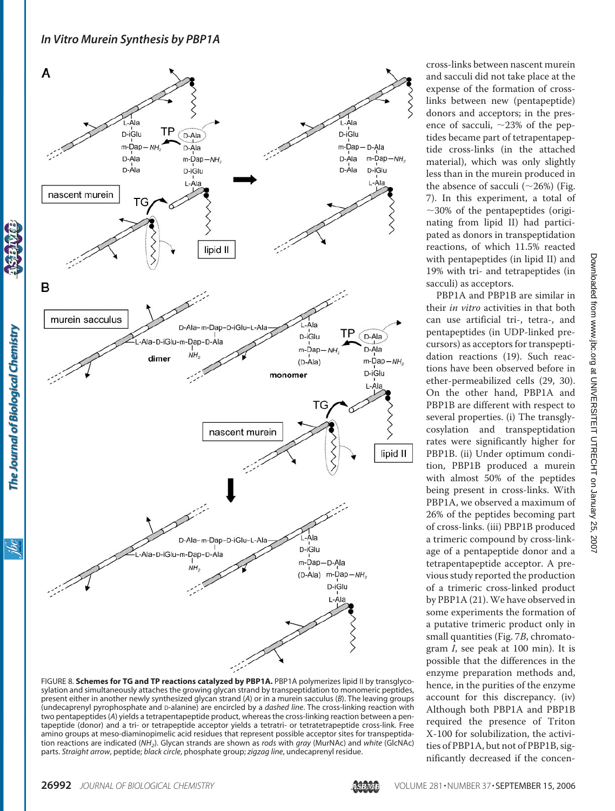# *In Vitro Murein Synthesis by PBP1A*



FIGURE 8. **Schemes for TG and TP reactions catalyzed by PBP1A.** PBP1A polymerizes lipid II by transglycosylation and simultaneously attaches the growing glycan strand by transpeptidation to monomeric peptides, present either in another newly synthesized glycan strand (*A*) or in a murein sacculus (*B*). The leaving groups (undecaprenyl pyrophosphate and D-alanine) are encircled by a *dashed line*. The cross-linking reaction with two pentapeptides (*A*) yields a tetrapentapeptide product, whereas the cross-linking reaction between a pentapeptide (donor) and a tri- or tetrapeptide acceptor yields a tetratri- or tetratetrapeptide cross-link. Free amino groups at meso-diaminopimelic acid residues that represent possible acceptor sites for transpeptidation reactions are indicated (*NH2*). Glycan strands are shown as *rods* with *gray* (MurNAc) and *white* (GlcNAc) parts. *Straight arrow*, peptide; *black circle*, phosphate group; *zigzag line*, undecaprenyl residue.

cross-links between nascent murein and sacculi did not take place at the expense of the formation of crosslinks between new (pentapeptide) donors and acceptors; in the presence of sacculi,  $\sim$ 23% of the peptides became part of tetrapentapeptide cross-links (in the attached material), which was only slightly less than in the murein produced in the absence of sacculi  $(\sim 26\%)$  (Fig. 7). In this experiment, a total of  $\sim$ 30% of the pentapeptides (originating from lipid II) had participated as donors in transpeptidation reactions, of which 11.5% reacted with pentapeptides (in lipid II) and 19% with tri- and tetrapeptides (in sacculi) as acceptors.

PBP1A and PBP1B are similar in their *in vitro* activities in that both can use artificial tri-, tetra-, and pentapeptides (in UDP-linked precursors) as acceptors for transpeptidation reactions (19). Such reactions have been observed before in ether-permeabilized cells (29, 30). On the other hand, PBP1A and PBP1B are different with respect to several properties. (i) The transglycosylation and transpeptidation rates were significantly higher for PBP1B. (ii) Under optimum condition, PBP1B produced a murein with almost 50% of the peptides being present in cross-links. With PBP1A, we observed a maximum of 26% of the peptides becoming part of cross-links. (iii) PBP1B produced a trimeric compound by cross-linkage of a pentapeptide donor and a tetrapentapeptide acceptor. A previous study reported the production of a trimeric cross-linked product by PBP1A (21).We have observed in some experiments the formation of a putative trimeric product only in small quantities (Fig. 7*B*, chromatogram *I*, see peak at 100 min). It is possible that the differences in the enzyme preparation methods and, hence, in the purities of the enzyme account for this discrepancy. (iv) Although both PBP1A and PBP1B required the presence of Triton X-100 for solubilization, the activities of PBP1A, but not of PBP1B, significantly decreased if the concen-

The Journal of Biological Chemistry